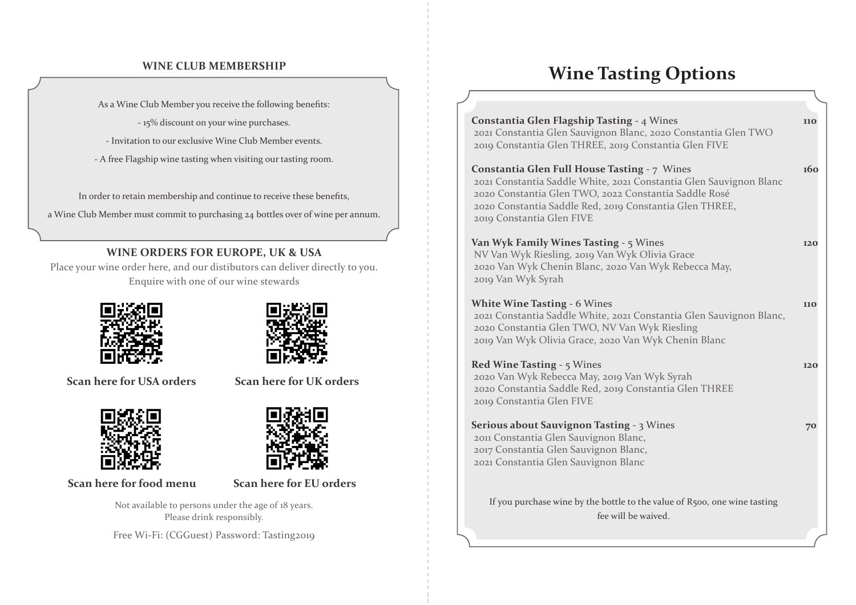#### **WINE CLUB MEMBERSHIP**

As a Wine Club Member you receive the following benefits:

- 15% discount on your wine purchases.
- Invitation to our exclusive Wine Club Member events.
- A free Flagship wine tasting when visiting our tasting room.

In order to retain membership and continue to receive these benefits,

a Wine Club Member must commit to purchasing 24 bottles over of wine per annum.

### **WINE ORDERS FOR EUROPE, UK & USA**

Place your wine order here, and our distibutors can deliver directly to you. Enquire with one of our wine stewards





**Scan here for USA orders Scan here for UK orders**



#### **Scan here for food menu**



## **Scan here for EU orders**

Not available to persons under the age of 18 years. Please drink responsibly.

Free Wi-Fi: (CGGuest) Password: Tasting2019

# **Wine Tasting Options**

| <b>Constantia Glen Flagship Tasting - 4 Wines</b><br>2021 Constantia Glen Sauvignon Blanc, 2020 Constantia Glen TWO<br>2019 Constantia Glen THREE, 2019 Constantia Glen FIVE                                                                                               | <b>110</b> |
|----------------------------------------------------------------------------------------------------------------------------------------------------------------------------------------------------------------------------------------------------------------------------|------------|
| <b>Constantia Glen Full House Tasting - 7 Wines</b><br>2021 Constantia Saddle White, 2021 Constantia Glen Sauvignon Blanc<br>2020 Constantia Glen TWO, 2022 Constantia Saddle Rosé<br>2020 Constantia Saddle Red, 2019 Constantia Glen THREE,<br>2019 Constantia Glen FIVE | 160        |
| Van Wyk Family Wines Tasting - 5 Wines<br>NV Van Wyk Riesling, 2019 Van Wyk Olivia Grace<br>2020 Van Wyk Chenin Blanc, 2020 Van Wyk Rebecca May,<br>2019 Van Wyk Syrah                                                                                                     | 120        |
| <b>White Wine Tasting - 6 Wines</b><br>2021 Constantia Saddle White, 2021 Constantia Glen Sauvignon Blanc,<br>2020 Constantia Glen TWO, NV Van Wyk Riesling<br>2019 Van Wyk Olivia Grace, 2020 Van Wyk Chenin Blanc                                                        | 110        |
| <b>Red Wine Tasting - 5 Wines</b><br>2020 Van Wyk Rebecca May, 2019 Van Wyk Syrah<br>2020 Constantia Saddle Red, 2019 Constantia Glen THREE<br>2019 Constantia Glen FIVE                                                                                                   | 120        |
| <b>Serious about Sauvignon Tasting - 3 Wines</b><br>2011 Constantia Glen Sauvignon Blanc,<br>2017 Constantia Glen Sauvignon Blanc,<br>2021 Constantia Glen Sauvignon Blanc                                                                                                 | 70         |
| If you purchase wine by the bottle to the value of R500, one wine tasting<br>fee will be waived.                                                                                                                                                                           |            |